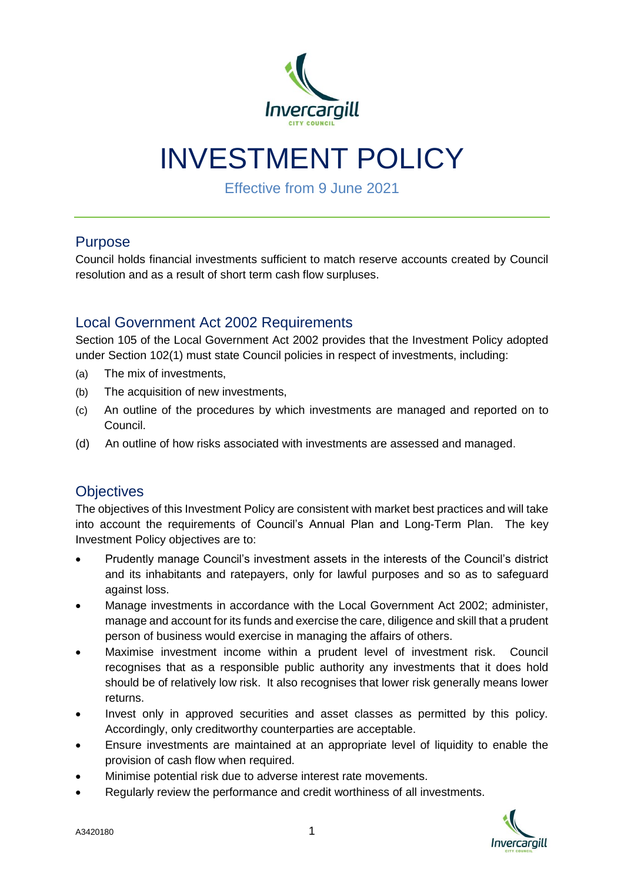

# INVESTMENT POLICY

Effective from 9 June 2021

# Purpose

Council holds financial investments sufficient to match reserve accounts created by Council resolution and as a result of short term cash flow surpluses.

# Local Government Act 2002 Requirements

Section 105 of the Local Government Act 2002 provides that the Investment Policy adopted under Section 102(1) must state Council policies in respect of investments, including:

- (a) The mix of investments,
- (b) The acquisition of new investments,
- (c) An outline of the procedures by which investments are managed and reported on to Council.
- (d) An outline of how risks associated with investments are assessed and managed.

# **Objectives**

The objectives of this Investment Policy are consistent with market best practices and will take into account the requirements of Council's Annual Plan and Long-Term Plan. The key Investment Policy objectives are to:

- Prudently manage Council's investment assets in the interests of the Council's district and its inhabitants and ratepayers, only for lawful purposes and so as to safeguard against loss.
- Manage investments in accordance with the Local Government Act 2002; administer, manage and account for its funds and exercise the care, diligence and skill that a prudent person of business would exercise in managing the affairs of others.
- Maximise investment income within a prudent level of investment risk. Council recognises that as a responsible public authority any investments that it does hold should be of relatively low risk. It also recognises that lower risk generally means lower returns.
- Invest only in approved securities and asset classes as permitted by this policy. Accordingly, only creditworthy counterparties are acceptable.
- Ensure investments are maintained at an appropriate level of liquidity to enable the provision of cash flow when required.
- Minimise potential risk due to adverse interest rate movements.
- Regularly review the performance and credit worthiness of all investments.

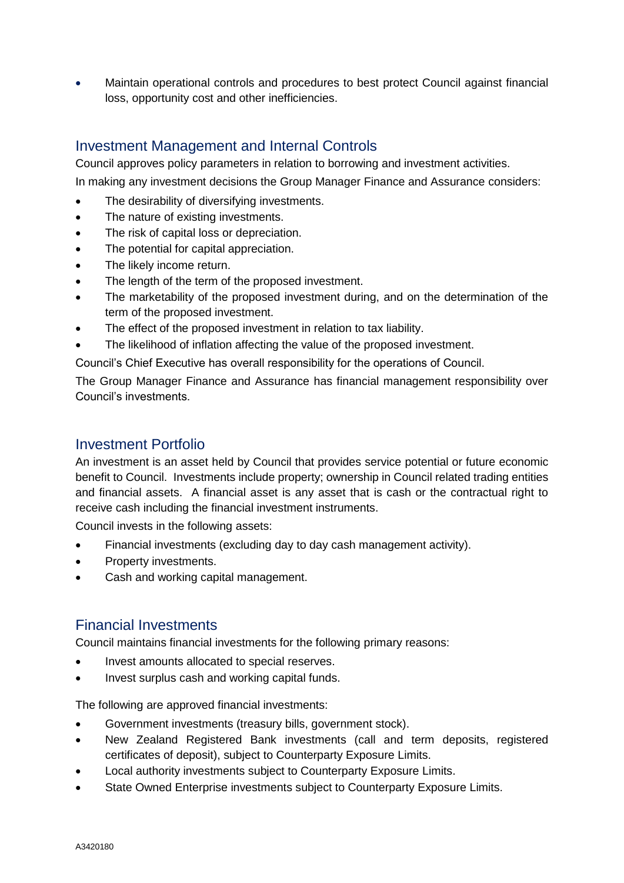Maintain operational controls and procedures to best protect Council against financial loss, opportunity cost and other inefficiencies.

# Investment Management and Internal Controls

Council approves policy parameters in relation to borrowing and investment activities. In making any investment decisions the Group Manager Finance and Assurance considers:

- The desirability of diversifying investments.
- The nature of existing investments.
- The risk of capital loss or depreciation.
- The potential for capital appreciation.
- The likely income return.
- The length of the term of the proposed investment.
- The marketability of the proposed investment during, and on the determination of the term of the proposed investment.
- The effect of the proposed investment in relation to tax liability.
- The likelihood of inflation affecting the value of the proposed investment.

Council's Chief Executive has overall responsibility for the operations of Council.

The Group Manager Finance and Assurance has financial management responsibility over Council's investments.

## Investment Portfolio

An investment is an asset held by Council that provides service potential or future economic benefit to Council. Investments include property; ownership in Council related trading entities and financial assets. A financial asset is any asset that is cash or the contractual right to receive cash including the financial investment instruments.

Council invests in the following assets:

- Financial investments (excluding day to day cash management activity).
- Property investments.
- Cash and working capital management.

# Financial Investments

Council maintains financial investments for the following primary reasons:

- Invest amounts allocated to special reserves.
- Invest surplus cash and working capital funds.

The following are approved financial investments:

- Government investments (treasury bills, government stock).
- New Zealand Registered Bank investments (call and term deposits, registered certificates of deposit), subject to Counterparty Exposure Limits.
- Local authority investments subject to Counterparty Exposure Limits.
- State Owned Enterprise investments subject to Counterparty Exposure Limits.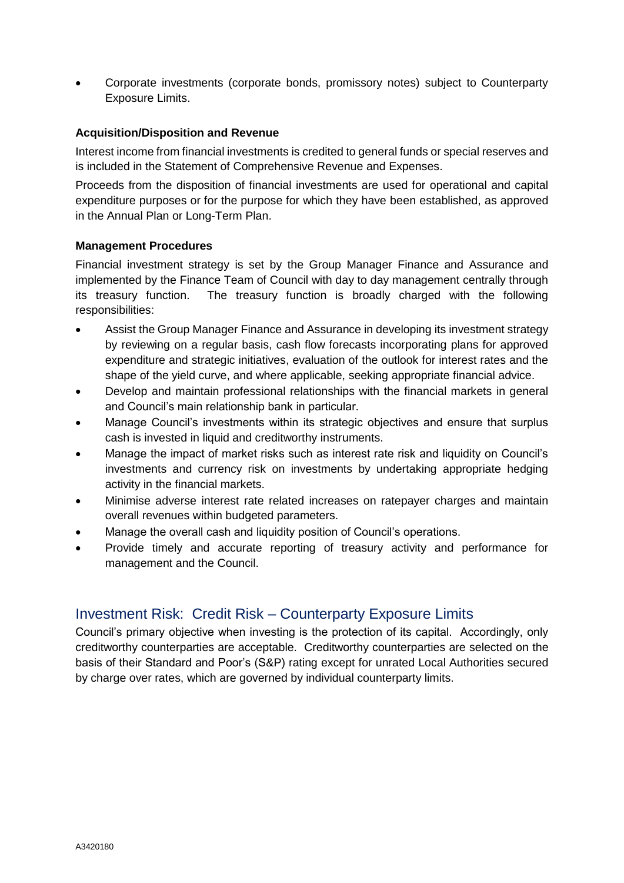Corporate investments (corporate bonds, promissory notes) subject to Counterparty Exposure Limits.

### **Acquisition/Disposition and Revenue**

Interest income from financial investments is credited to general funds or special reserves and is included in the Statement of Comprehensive Revenue and Expenses.

Proceeds from the disposition of financial investments are used for operational and capital expenditure purposes or for the purpose for which they have been established, as approved in the Annual Plan or Long-Term Plan.

### **Management Procedures**

Financial investment strategy is set by the Group Manager Finance and Assurance and implemented by the Finance Team of Council with day to day management centrally through its treasury function. The treasury function is broadly charged with the following responsibilities:

- Assist the Group Manager Finance and Assurance in developing its investment strategy by reviewing on a regular basis, cash flow forecasts incorporating plans for approved expenditure and strategic initiatives, evaluation of the outlook for interest rates and the shape of the yield curve, and where applicable, seeking appropriate financial advice.
- Develop and maintain professional relationships with the financial markets in general and Council's main relationship bank in particular.
- Manage Council's investments within its strategic objectives and ensure that surplus cash is invested in liquid and creditworthy instruments.
- Manage the impact of market risks such as interest rate risk and liquidity on Council's investments and currency risk on investments by undertaking appropriate hedging activity in the financial markets.
- Minimise adverse interest rate related increases on ratepayer charges and maintain overall revenues within budgeted parameters.
- Manage the overall cash and liquidity position of Council's operations.
- Provide timely and accurate reporting of treasury activity and performance for management and the Council.

# Investment Risk: Credit Risk – Counterparty Exposure Limits

Council's primary objective when investing is the protection of its capital. Accordingly, only creditworthy counterparties are acceptable. Creditworthy counterparties are selected on the basis of their Standard and Poor's (S&P) rating except for unrated Local Authorities secured by charge over rates, which are governed by individual counterparty limits.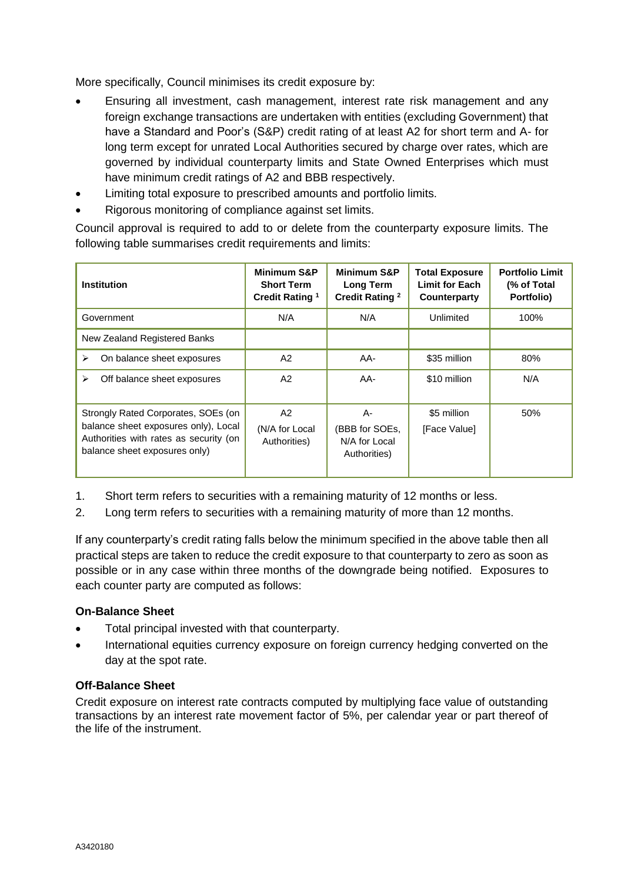More specifically, Council minimises its credit exposure by:

- Ensuring all investment, cash management, interest rate risk management and any foreign exchange transactions are undertaken with entities (excluding Government) that have a Standard and Poor's (S&P) credit rating of at least A2 for short term and A- for long term except for unrated Local Authorities secured by charge over rates, which are governed by individual counterparty limits and State Owned Enterprises which must have minimum credit ratings of A2 and BBB respectively.
- Limiting total exposure to prescribed amounts and portfolio limits.
- Rigorous monitoring of compliance against set limits.

Council approval is required to add to or delete from the counterparty exposure limits. The following table summarises credit requirements and limits:

| Institution                                                                                                                                            | <b>Minimum S&amp;P</b><br><b>Short Term</b><br>Credit Rating <sup>1</sup> | <b>Minimum S&amp;P</b><br>Long Term<br><b>Credit Rating 2</b> | <b>Total Exposure</b><br><b>Limit for Each</b><br>Counterparty | <b>Portfolio Limit</b><br>(% of Total<br>Portfolio) |
|--------------------------------------------------------------------------------------------------------------------------------------------------------|---------------------------------------------------------------------------|---------------------------------------------------------------|----------------------------------------------------------------|-----------------------------------------------------|
| Government                                                                                                                                             | N/A                                                                       | N/A                                                           | Unlimited                                                      | 100%                                                |
| New Zealand Registered Banks                                                                                                                           |                                                                           |                                                               |                                                                |                                                     |
| On balance sheet exposures<br>➤                                                                                                                        | A2                                                                        | AA-                                                           | \$35 million                                                   | 80%                                                 |
| Off balance sheet exposures<br>⋗                                                                                                                       | A2                                                                        | AA-                                                           | \$10 million                                                   | N/A                                                 |
| Strongly Rated Corporates, SOEs (on<br>balance sheet exposures only), Local<br>Authorities with rates as security (on<br>balance sheet exposures only) | A2<br>(N/A for Local<br>Authorities)                                      | A-<br>(BBB for SOEs,<br>N/A for Local<br>Authorities)         | \$5 million<br>[Face Value]                                    | 50%                                                 |

- 1. Short term refers to securities with a remaining maturity of 12 months or less.
- 2. Long term refers to securities with a remaining maturity of more than 12 months.

If any counterparty's credit rating falls below the minimum specified in the above table then all practical steps are taken to reduce the credit exposure to that counterparty to zero as soon as possible or in any case within three months of the downgrade being notified. Exposures to each counter party are computed as follows:

### **On-Balance Sheet**

- Total principal invested with that counterparty.
- International equities currency exposure on foreign currency hedging converted on the day at the spot rate.

### **Off-Balance Sheet**

Credit exposure on interest rate contracts computed by multiplying face value of outstanding transactions by an interest rate movement factor of 5%, per calendar year or part thereof of the life of the instrument.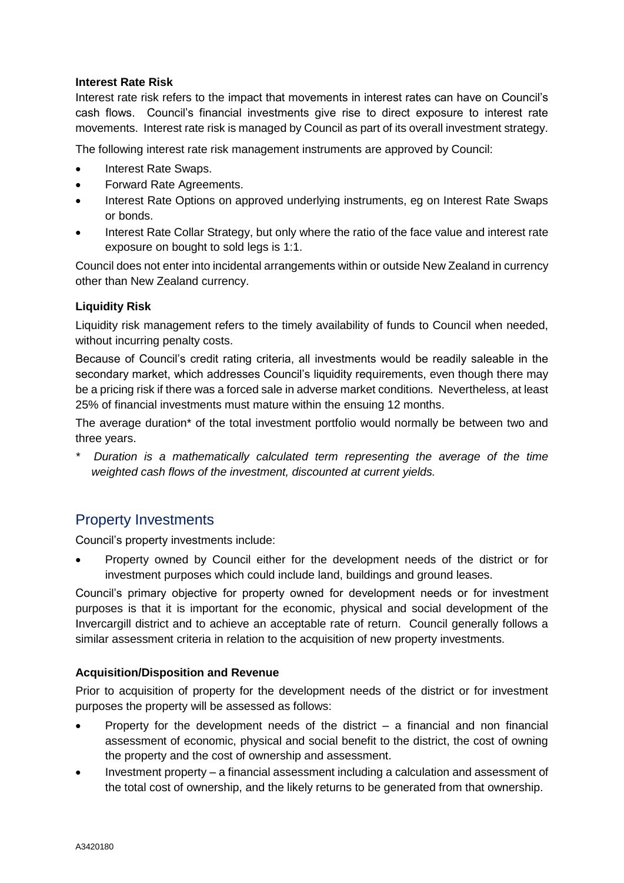### **Interest Rate Risk**

Interest rate risk refers to the impact that movements in interest rates can have on Council's cash flows. Council's financial investments give rise to direct exposure to interest rate movements. Interest rate risk is managed by Council as part of its overall investment strategy.

The following interest rate risk management instruments are approved by Council:

- Interest Rate Swaps.
- Forward Rate Agreements.
- Interest Rate Options on approved underlying instruments, eg on Interest Rate Swaps or bonds.
- Interest Rate Collar Strategy, but only where the ratio of the face value and interest rate exposure on bought to sold legs is 1:1.

Council does not enter into incidental arrangements within or outside New Zealand in currency other than New Zealand currency.

### **Liquidity Risk**

Liquidity risk management refers to the timely availability of funds to Council when needed, without incurring penalty costs.

Because of Council's credit rating criteria, all investments would be readily saleable in the secondary market, which addresses Council's liquidity requirements, even though there may be a pricing risk if there was a forced sale in adverse market conditions. Nevertheless, at least 25% of financial investments must mature within the ensuing 12 months.

The average duration\* of the total investment portfolio would normally be between two and three years.

*\* Duration is a mathematically calculated term representing the average of the time weighted cash flows of the investment, discounted at current yields.*

# Property Investments

Council's property investments include:

 Property owned by Council either for the development needs of the district or for investment purposes which could include land, buildings and ground leases.

Council's primary objective for property owned for development needs or for investment purposes is that it is important for the economic, physical and social development of the Invercargill district and to achieve an acceptable rate of return. Council generally follows a similar assessment criteria in relation to the acquisition of new property investments.

### **Acquisition/Disposition and Revenue**

Prior to acquisition of property for the development needs of the district or for investment purposes the property will be assessed as follows:

- Property for the development needs of the district a financial and non financial assessment of economic, physical and social benefit to the district, the cost of owning the property and the cost of ownership and assessment.
- Investment property a financial assessment including a calculation and assessment of the total cost of ownership, and the likely returns to be generated from that ownership.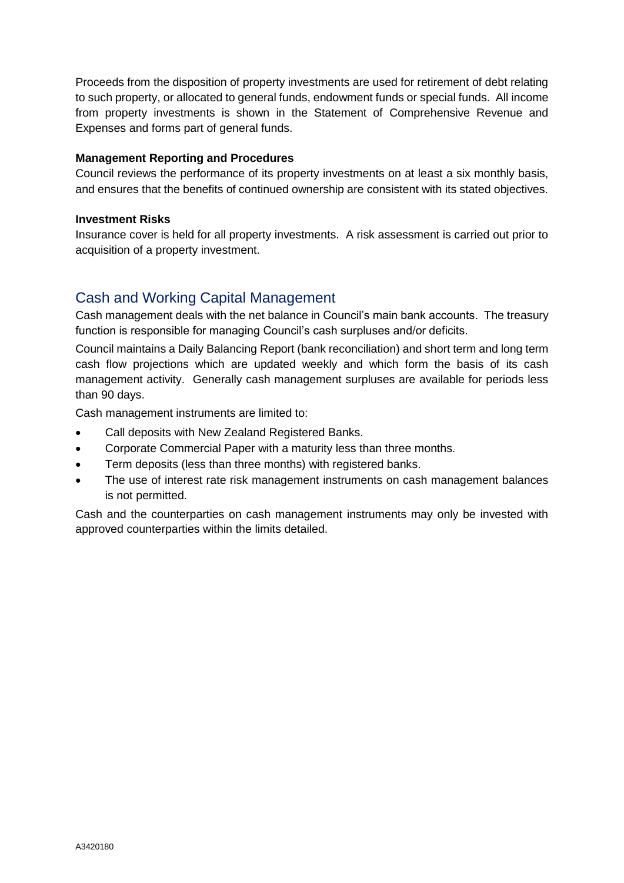Proceeds from the disposition of property investments are used for retirement of debt relating to such property, or allocated to general funds, endowment funds or special funds. All income from property investments is shown in the Statement of Comprehensive Revenue and Expenses and forms part of general funds.

### **Management Reporting and Procedures**

Council reviews the performance of its property investments on at least a six monthly basis, and ensures that the benefits of continued ownership are consistent with its stated objectives.

### **Investment Risks**

Insurance cover is held for all property investments. A risk assessment is carried out prior to acquisition of a property investment.

# Cash and Working Capital Management

Cash management deals with the net balance in Council's main bank accounts. The treasury function is responsible for managing Council's cash surpluses and/or deficits.

Council maintains a Daily Balancing Report (bank reconciliation) and short term and long term cash flow projections which are updated weekly and which form the basis of its cash management activity. Generally cash management surpluses are available for periods less than 90 days.

Cash management instruments are limited to:

- Call deposits with New Zealand Registered Banks.
- Corporate Commercial Paper with a maturity less than three months.
- Term deposits (less than three months) with registered banks.
- The use of interest rate risk management instruments on cash management balances is not permitted.

Cash and the counterparties on cash management instruments may only be invested with approved counterparties within the limits detailed.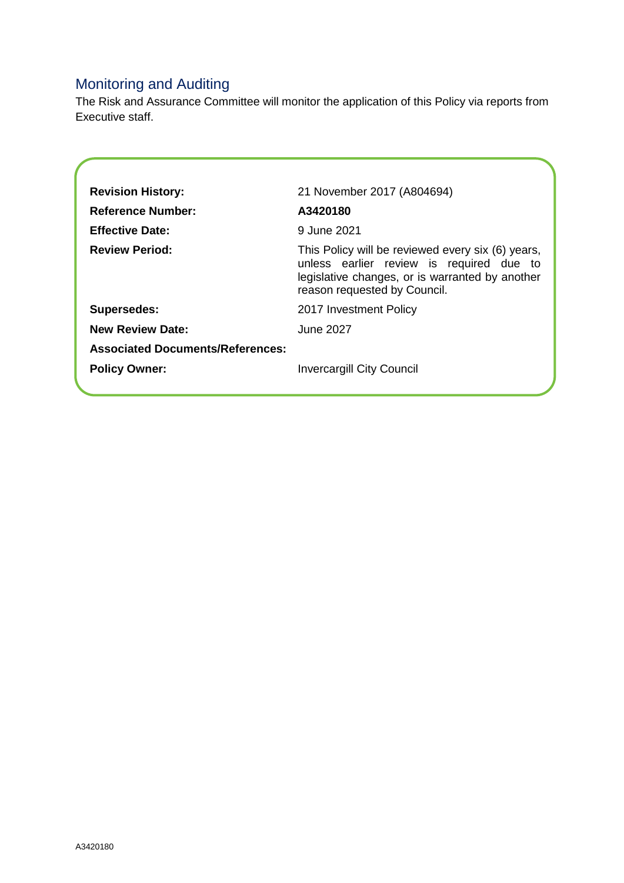# Monitoring and Auditing

The Risk and Assurance Committee will monitor the application of this Policy via reports from Executive staff.

| <b>Revision History:</b>                | 21 November 2017 (A804694)                                                                                                                                                       |  |
|-----------------------------------------|----------------------------------------------------------------------------------------------------------------------------------------------------------------------------------|--|
| <b>Reference Number:</b>                | A3420180                                                                                                                                                                         |  |
| <b>Effective Date:</b>                  | 9 June 2021                                                                                                                                                                      |  |
| <b>Review Period:</b>                   | This Policy will be reviewed every six (6) years,<br>unless earlier review is required due to<br>legislative changes, or is warranted by another<br>reason requested by Council. |  |
| <b>Supersedes:</b>                      | 2017 Investment Policy                                                                                                                                                           |  |
| <b>New Review Date:</b>                 | June 2027                                                                                                                                                                        |  |
| <b>Associated Documents/References:</b> |                                                                                                                                                                                  |  |
| <b>Policy Owner:</b>                    | <b>Invercargill City Council</b>                                                                                                                                                 |  |
|                                         |                                                                                                                                                                                  |  |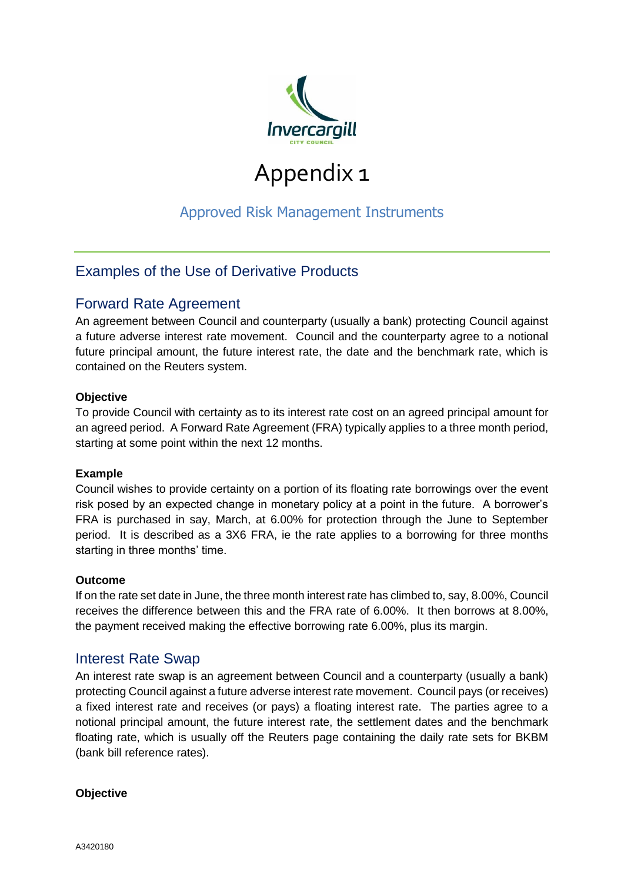

# Appendix 1

# Approved Risk Management Instruments

# Examples of the Use of Derivative Products

# Forward Rate Agreement

An agreement between Council and counterparty (usually a bank) protecting Council against a future adverse interest rate movement. Council and the counterparty agree to a notional future principal amount, the future interest rate, the date and the benchmark rate, which is contained on the Reuters system.

### **Objective**

To provide Council with certainty as to its interest rate cost on an agreed principal amount for an agreed period. A Forward Rate Agreement (FRA) typically applies to a three month period, starting at some point within the next 12 months.

### **Example**

Council wishes to provide certainty on a portion of its floating rate borrowings over the event risk posed by an expected change in monetary policy at a point in the future. A borrower's FRA is purchased in say, March, at 6.00% for protection through the June to September period. It is described as a 3X6 FRA, ie the rate applies to a borrowing for three months starting in three months' time.

### **Outcome**

If on the rate set date in June, the three month interest rate has climbed to, say, 8.00%, Council receives the difference between this and the FRA rate of 6.00%. It then borrows at 8.00%, the payment received making the effective borrowing rate 6.00%, plus its margin.

### Interest Rate Swap

An interest rate swap is an agreement between Council and a counterparty (usually a bank) protecting Council against a future adverse interest rate movement. Council pays (or receives) a fixed interest rate and receives (or pays) a floating interest rate. The parties agree to a notional principal amount, the future interest rate, the settlement dates and the benchmark floating rate, which is usually off the Reuters page containing the daily rate sets for BKBM (bank bill reference rates).

### **Objective**